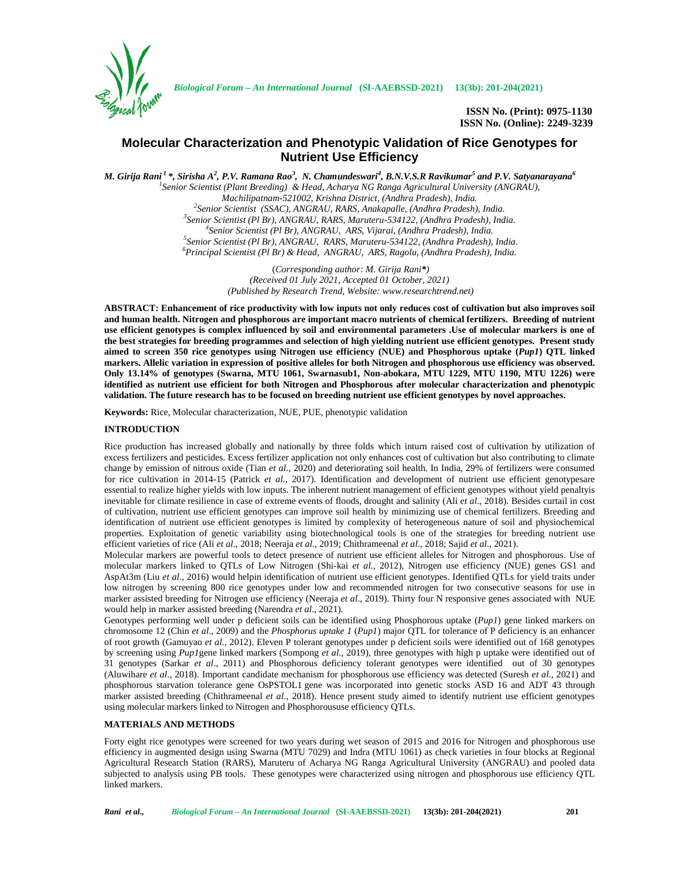

*Biological Forum – An International Journal* **(SI-AAEBSSD-2021) 13(3b): 201-204(2021)**

**ISSN No. (Print): 0975-1130 ISSN No. (Online): 2249-3239**

# **Molecular Characterization and Phenotypic Validation of Rice Genotypes for Nutrient Use Efficiency**

*M. Girija Rani <sup>1</sup> \*, Sirisha A<sup>2</sup> , P.V. Ramana Rao<sup>3</sup> , N. Chamundeswari<sup>4</sup> , B.N.V.S.R Ravikumar<sup>5</sup> and P.V. Satyanarayana<sup>6</sup> <sup>1</sup>Senior Scientist (Plant Breeding) & Head, Acharya NG Ranga Agricultural University (ANGRAU),* Machilipatnam-521002, Krishna District, (Andhra Pradesh), India.<br><sup>2</sup>Senior Scientist (SSAC), ANGRAU, RARS, Anakapalle, (Andhra Pradesh), India.<br><sup>3</sup>Senior Scientist (Pl Br), ANGRAU, RARS, Maruteru-534122, (Andhra Pradesh),

> (*Corresponding author: M. Girija Rani\*) (Received 01 July 2021, Accepted 01 October, 2021) (Published by Research Trend, Website: [www.researchtrend.net\)](www.researchtrend.net)*

**ABSTRACT: Enhancement of rice productivity with low inputs not only reduces cost of cultivation but also improves soil and human health. Nitrogen and phosphorous are important macro nutrients of chemical fertilizers. Breeding of nutrient use efficient genotypes is complex influenced by soil and environmental parameters .Use of molecular markers is one of the best strategies for breeding programmes and selection of high yielding nutrient use efficient genotypes. Present study aimed to screen 350 rice genotypes using Nitrogen use efficiency (NUE) and Phosphorous uptake (***Pup1***) QTL linked markers. Allelic variation in expression of positive alleles for both Nitrogen and phosphorous use efficiency was observed. Only 13.14% of genotypes (Swarna, MTU 1061, Swarnasub1, Non-abokara, MTU 1229, MTU 1190, MTU 1226) were identified as nutrient use efficient for both Nitrogen and Phosphorous after molecular characterization and phenotypic validation. The future research has to be focused on breeding nutrient use efficient genotypes by novel approaches.**

**Keywords:** Rice, Molecular characterization, NUE, PUE, phenotypic validation

### **INTRODUCTION**

Rice production has increased globally and nationally by three folds which inturn raised cost of cultivation by utilization of excess fertilizers and pesticides. Excess fertilizer application not only enhances cost of cultivation but also contributing to climate change by emission of nitrous oxide (Tian *et al*., 2020) and deteriorating soil health. In India, 29% of fertilizers were consumed for rice cultivation in 2014-15 (Patrick *et al*., 2017). Identification and development of nutrient use efficient genotypesare essential to realize higher yields with low inputs. The inherent nutrient management of efficient genotypes without yield penaltyis inevitable for climate resilience in case of extreme events of floods, drought and salinity (Ali *et al*., 2018). Besides curtail in cost of cultivation, nutrient use efficient genotypes can improve soil health by minimizing use of chemical fertilizers. Breeding and identification of nutrient use efficient genotypes is limited by complexity of heterogeneous nature of soil and physiochemical properties. Exploitation of genetic variability using biotechnological tools is one of the strategies for breeding nutrient use efficient varieties of rice (Ali *et al*., 2018; Neeraja *et al*., 2019; Chithrameenal *et al*., 2018; Sajid *et al*., 2021).

Molecular markers are powerful tools to detect presence of nutrient use efficient alleles for Nitrogen and phosphorous. Use of molecular markers linked to QTLs of Low Nitrogen (Shi-kai *et al.*, 2012), Nitrogen use efficiency (NUE) genes GS1 and AspAt3m (Liu *et al*., 2016) would helpin identification of nutrient use efficient genotypes. Identified QTLs for yield traits under low nitrogen by screening 800 rice genotypes under low and recommended nitrogen for two consecutive seasons for use in marker assisted breeding for Nitrogen use efficiency (Neeraja *et al*., 2019). Thirty four N responsive genes associated with NUE would help in marker assisted breeding (Narendra *et al*., 2021).

Genotypes performing well under p deficient soils can be identified using Phosphorous uptake (*Pup1*) gene linked markers on chromosome 12 (Chin *et al*., 2009) and the *Phosphorus uptake 1* (*Pup1*) major QTL for tolerance of P deficiency is an enhancer of root growth (Gamuyao *et al.,* 2012). Eleven P tolerant genotypes under p deficient soils were identified out of 168 genotypes by screening using *Pup1*gene linked markers (Sompong *et al.,* 2019), three genotypes with high p uptake were identified out of 31 genotypes (Sarkar *et al*., 2011) and Phosphorous deficiency tolerant genotypes were identified out of 30 genotypes (Aluwihare *et al*., 2018). Important candidate mechanism for phosphorous use efficiency was detected (Suresh *et al*., 2021) and phosphorous starvation tolerance gene OsPSTOL1 gene was incorporated into genetic stocks ASD 16 and ADT 43 through marker assisted breeding (Chithrameenal *et al*., 2018). Hence present study aimed to identify nutrient use efficient genotypes using molecular markers linked to Nitrogen and Phosphoroususe efficiency QTLs.

### **MATERIALS AND METHODS**

Forty eight rice genotypes were screened for two years during wet season of 2015 and 2016 for Nitrogen and phosphorous use efficiency in augmented design using Swarna (MTU 7029) and Indra (MTU 1061) as check varieties in four blocks at Regional Agricultural Research Station (RARS), Maruteru of Acharya NG Ranga Agricultural University (ANGRAU) and pooled data subjected to analysis using PB tools. These genotypes were characterized using nitrogen and phosphorous use efficiency QTL linked markers.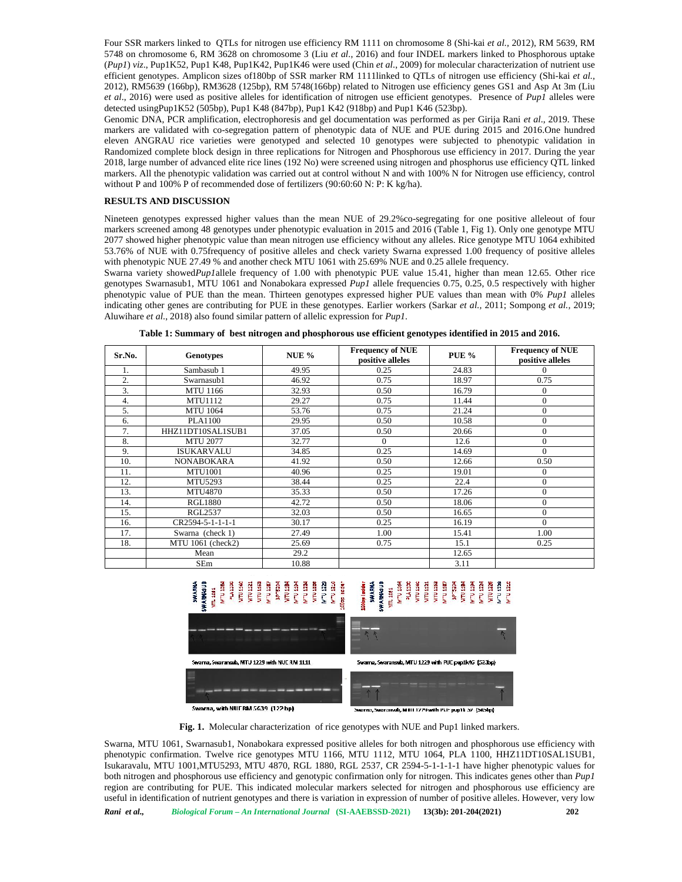Four SSR markers linked to QTLs for nitrogen use efficiency RM 1111 on chromosome 8 (Shi-kai *et al.,* 2012), RM 5639, RM 5748 on chromosome 6, RM 3628 on chromosome 3 (Liu *et al*., 2016) and four INDEL markers linked to Phosphorous uptake (*Pup1*) *viz*., Pup1K52, Pup1 K48, Pup1K42, Pup1K46 were used (Chin *et al*., 2009) for molecular characterization of nutrient use efficient genotypes. Amplicon sizes of180bp of SSR marker RM 1111linked to QTLs of nitrogen use efficiency (Shi-kai *et al.,* 2012), RM5639 (166bp), RM3628 (125bp), RM 5748(166bp) related to Nitrogen use efficiency genes GS1 and Asp At 3m (Liu *et al*., 2016) were used as positive alleles for identification of nitrogen use efficient genotypes. Presence of *Pup1* alleles were detected usingPup1K52 (505bp), Pup1 K48 (847bp), Pup1 K42 (918bp) and Pup1 K46 (523bp).

Genomic DNA, PCR amplification, electrophoresis and gel documentation was performed as per Girija Rani *et al*., 2019. These markers are validated with co-segregation pattern of phenotypic data of NUE and PUE during 2015 and 2016.One hundred eleven ANGRAU rice varieties were genotyped and selected 10 genotypes were subjected to phenotypic validation in Randomized complete block design in three replications for Nitrogen and Phosphorous use efficiency in 2017. During the year 2018, large number of advanced elite rice lines (192 No) were screened using nitrogen and phosphorus use efficiency QTL linked markers. All the phenotypic validation was carried out at control without N and with 100% N for Nitrogen use efficiency, control without P and 100% P of recommended dose of fertilizers (90:60:60 N: P: K kg/ha).

### **RESULTS AND DISCUSSION**

Nineteen genotypes expressed higher values than the mean NUE of 29.2%co-segregating for one positive alleleout of four markers screened among 48 genotypes under phenotypic evaluation in 2015 and 2016 (Table 1, Fig 1). Only one genotype MTU 2077 showed higher phenotypic value than mean nitrogen use efficiency without any alleles. Rice genotype MTU 1064 exhibited 53.76% of NUE with 0.75frequency of positive alleles and check variety Swarna expressed 1.00 frequency of positive alleles with phenotypic NUE 27.49 % and another check MTU 1061 with 25.69% NUE and 0.25 allele frequency.

Swarna variety showed*Pup1*allele frequency of 1.00 with phenotypic PUE value 15.41, higher than mean 12.65. Other rice genotypes Swarnasub1, MTU 1061 and Nonabokara expressed *Pup1* allele frequencies 0.75, 0.25, 0.5 respectively with higher phenotypic value of PUE than the mean. Thirteen genotypes expressed higher PUE values than mean with 0% *Pup1* alleles indicating other genes are contributing for PUE in these genotypes. Earlier workers (Sarkar *et al.,* 2011; Sompong *et al.,* 2019; Aluwihare *et al*., 2018) also found similar pattern of allelic expression for *Pup1*.

|  |  |  | Table 1: Summary of best nitrogen and phosphorous use efficient genotypes identified in 2015 and 2016. |
|--|--|--|--------------------------------------------------------------------------------------------------------|
|--|--|--|--------------------------------------------------------------------------------------------------------|

| Sr.No. | <b>Genotypes</b>  | NUE % | <b>Frequency of NUE</b><br>positive alleles | <b>PUE %</b> | <b>Frequency of NUE</b><br>positive alleles |
|--------|-------------------|-------|---------------------------------------------|--------------|---------------------------------------------|
| 1.     | Sambasub 1        | 49.95 | 0.25                                        | 24.83        | $\Omega$                                    |
| 2.     | Swarnasub1        | 46.92 | 0.75                                        | 18.97        | 0.75                                        |
| 3.     | <b>MTU 1166</b>   | 32.93 | 0.50                                        | 16.79        | $\theta$                                    |
| 4.     | <b>MTU1112</b>    | 29.27 | 0.75                                        | 11.44        | $\mathbf{0}$                                |
| 5.     | <b>MTU 1064</b>   | 53.76 | 0.75                                        | 21.24        | $\boldsymbol{0}$                            |
| 6.     | <b>PLA1100</b>    | 29.95 | 0.50                                        | 10.58        | $\mathbf{0}$                                |
| 7.     | HHZ11DT10SAL1SUB1 | 37.05 | 0.50                                        | 20.66        | $\theta$                                    |
| 8.     | <b>MTU 2077</b>   | 32.77 | $\Omega$                                    | 12.6         | $\theta$                                    |
| 9.     | <b>ISUKARVALU</b> | 34.85 | 0.25                                        | 14.69        | $\Omega$                                    |
| 10.    | <b>NONABOKARA</b> | 41.92 | 0.50                                        | 12.66        | 0.50                                        |
| 11.    | <b>MTU1001</b>    | 40.96 | 0.25                                        | 19.01        | $\theta$                                    |
| 12.    | MTU5293           | 38.44 | 0.25                                        | 22.4         | $\theta$                                    |
| 13.    | <b>MTU4870</b>    | 35.33 | 0.50                                        | 17.26        | $\mathbf{0}$                                |
| 14.    | <b>RGL1880</b>    | 42.72 | 0.50                                        | 18.06        | $\mathbf{0}$                                |
| 15.    | <b>RGL2537</b>    | 32.03 | 0.50                                        | 16.65        | $\theta$                                    |
| 16.    | CR2594-5-1-1-1-1  | 30.17 | 0.25                                        | 16.19        | $\Omega$                                    |
| 17.    | Swarna (check 1)  | 27.49 | 1.00                                        | 15.41        | 1.00                                        |
| 18.    | MTU 1061 (check2) | 25.69 | 0.75                                        | 15.1         | 0.25                                        |
|        | Mean              | 29.2  |                                             | 12.65        |                                             |
|        | <b>SEm</b>        | 10.88 |                                             | 3.11         |                                             |



.<br>sranvals, MTH 1229 with PUF pup1k 52. (SRSlay)

**Fig. 1.** Molecular characterization of rice genotypes with NUE and Pup1 linked markers.

Swarna, MTU 1061, Swarnasub1, Nonabokara expressed positive alleles for both nitrogen and phosphorous use efficiency with phenotypic confirmation. Twelve rice genotypes MTU 1166, MTU 1112, MTU 1064, PLA 1100, HHZ11DT10SAL1SUB1, Isukaravalu, MTU 1001,MTU5293, MTU 4870, RGL 1880, RGL 2537, CR 2594-5-1-1-1-1 have higher phenotypic values for both nitrogen and phosphorous use efficiency and genotypic confirmation only for nitrogen. This indicates genes other than *Pup1* region are contributing for PUE. This indicated molecular markers selected for nitrogen and phosphorous use efficiency are useful in identification of nutrient genotypes and there is variation in expression of number of positive alleles. However, very low

*Rani et al., Biological Forum – An International Journal* **(SI-AAEBSSD-2021) 13(3b): 201-204(2021) 202**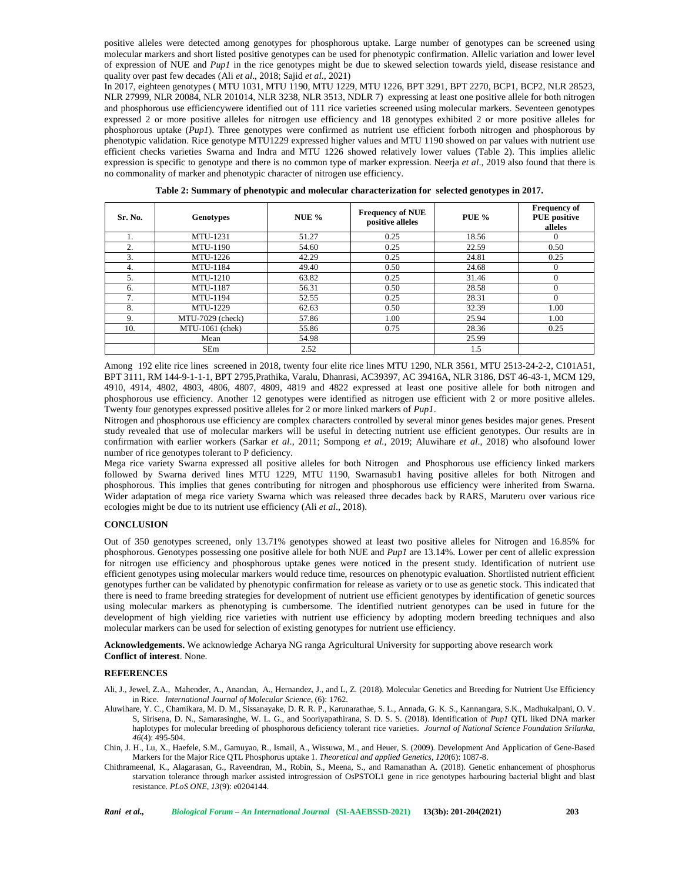positive alleles were detected among genotypes for phosphorous uptake. Large number of genotypes can be screened using molecular markers and short listed positive genotypes can be used for phenotypic confirmation. Allelic variation and lower level of expression of NUE and *Pup1* in the rice genotypes might be due to skewed selection towards yield, disease resistance and quality over past few decades (Ali *et al*., 2018; Sajid *et al.,* 2021)

In 2017, eighteen genotypes ( MTU 1031, MTU 1190, MTU 1229, MTU 1226, BPT 3291, BPT 2270, BCP1, BCP2, NLR 28523, NLR 27999, NLR 20084, NLR 201014, NLR 3238, NLR 3513, NDLR 7) expressing at least one positive allele for both nitrogen and phosphorous use efficiencywere identified out of 111 rice varieties screened using molecular markers. Seventeen genotypes expressed 2 or more positive alleles for nitrogen use efficiency and 18 genotypes exhibited 2 or more positive alleles for phosphorous uptake (*Pup1*). Three genotypes were confirmed as nutrient use efficient forboth nitrogen and phosphorous by phenotypic validation. Rice genotype MTU1229 expressed higher values and MTU 1190 showed on par values with nutrient use efficient checks varieties Swarna and Indra and MTU 1226 showed relatively lower values (Table 2). This implies allelic expression is specific to genotype and there is no common type of marker expression. Neerja *et al*., 2019 also found that there is no commonality of marker and phenotypic character of nitrogen use efficiency.

| Sr. No. | <b>Genotypes</b> | NUE $%$ | <b>Frequency of NUE</b><br>positive alleles | <b>PUE %</b> | <b>Frequency of</b><br><b>PUE</b> positive<br>alleles |
|---------|------------------|---------|---------------------------------------------|--------------|-------------------------------------------------------|
| 1.      | MTU-1231         | 51.27   | 0.25                                        | 18.56        |                                                       |
| 2.      | <b>MTU-1190</b>  | 54.60   | 0.25                                        | 22.59        | 0.50                                                  |
| 3.      | MTU-1226         | 42.29   | 0.25                                        | 24.81        | 0.25                                                  |
| 4.      | <b>MTU-1184</b>  | 49.40   | 0.50                                        | 24.68        |                                                       |
| 5.      | <b>MTU-1210</b>  | 63.82   | 0.25                                        | 31.46        |                                                       |
| 6.      | <b>MTU-1187</b>  | 56.31   | 0.50                                        | 28.58        |                                                       |
| 7.      | MTU-1194         | 52.55   | 0.25                                        | 28.31        |                                                       |
| 8.      | MTU-1229         | 62.63   | 0.50                                        | 32.39        | 1.00                                                  |
| 9.      | MTU-7029 (check) | 57.86   | 1.00                                        | 25.94        | 1.00                                                  |
| 10.     | MTU-1061 (chek)  | 55.86   | 0.75                                        | 28.36        | 0.25                                                  |
|         | Mean             | 54.98   |                                             | 25.99        |                                                       |
|         | <b>SEm</b>       | 2.52    |                                             | 1.5          |                                                       |

**Table 2: Summary of phenotypic and molecular characterization for selected genotypes in 2017.**

Among 192 elite rice lines screened in 2018, twenty four elite rice lines MTU 1290, NLR 3561, MTU 2513-24-2-2, C101A51, BPT 3111, RM 144-9-1-1-1, BPT 2795,Prathika, Varalu, Dhanrasi, AC39397, AC 39416A, NLR 3186, DST 46-43-1, MCM 129, 4910, 4914, 4802, 4803, 4806, 4807, 4809, 4819 and 4822 expressed at least one positive allele for both nitrogen and phosphorous use efficiency. Another 12 genotypes were identified as nitrogen use efficient with 2 or more positive alleles. Twenty four genotypes expressed positive alleles for 2 or more linked markers of *Pup1*.

Nitrogen and phosphorous use efficiency are complex characters controlled by several minor genes besides major genes. Present study revealed that use of molecular markers will be useful in detecting nutrient use efficient genotypes. Our results are in confirmation with earlier workers (Sarkar *et al*., 2011; Sompong *et al.,* 2019; Aluwihare *et al*., 2018) who alsofound lower number of rice genotypes tolerant to P deficiency.

Mega rice variety Swarna expressed all positive alleles for both Nitrogen and Phosphorous use efficiency linked markers followed by Swarna derived lines MTU 1229, MTU 1190, Swarnasub1 having positive alleles for both Nitrogen and phosphorous. This implies that genes contributing for nitrogen and phosphorous use efficiency were inherited from Swarna. Wider adaptation of mega rice variety Swarna which was released three decades back by RARS, Maruteru over various rice ecologies might be due to its nutrient use efficiency (Ali *et al*., 2018).

## **CONCLUSION**

Out of 350 genotypes screened, only 13.71% genotypes showed at least two positive alleles for Nitrogen and 16.85% for phosphorous. Genotypes possessing one positive allele for both NUE and *Pup1* are 13.14%. Lower per cent of allelic expression for nitrogen use efficiency and phosphorous uptake genes were noticed in the present study. Identification of nutrient use efficient genotypes using molecular markers would reduce time, resources on phenotypic evaluation. Shortlisted nutrient efficient genotypes further can be validated by phenotypic confirmation for release as variety or to use as genetic stock. This indicated that there is need to frame breeding strategies for development of nutrient use efficient genotypes by identification of genetic sources using molecular markers as phenotyping is cumbersome. The identified nutrient genotypes can be used in future for the development of high yielding rice varieties with nutrient use efficiency by adopting modern breeding techniques and also molecular markers can be used for selection of existing genotypes for nutrient use efficiency.

**Acknowledgements.** We acknowledge Acharya NG ranga Agricultural University for supporting above research work **Conflict of interest**. None.

#### **REFERENCES**

- Ali, J., Jewel, Z.A., Mahender, A., Anandan, A., Hernandez, J., and L, Z. (2018). Molecular Genetics and Breeding for Nutrient Use Efficiency in Rice. *International Journal of Molecular Science*, (6): 1762.
- Aluwihare, Y. C., Chamikara, M. D. M., Sissanayake, D. R. R. P., Karunarathae, S. L., Annada, G. K. S., Kannangara, S.K., Madhukalpani, O. V. S, Sirisena, D. N., Samarasinghe, W. L. G., and Sooriyapathirana, S. D. S. S. (2018). Identification of *Pup1* QTL liked DNA marker haplotypes for molecular breeding of phosphorous deficiency tolerant rice varieties. *Journal of National Science Foundation Srilanka*, *46*(4): 495-504.
- Chin, J. H., Lu, X., Haefele, S.M., Gamuyao, R., Ismail, A., Wissuwa, M., and Heuer, S. (2009). Development And Application of Gene-Based Markers for the Major Rice QTL Phosphorus uptake 1. *Theoretical and applied Genetics*, *120*(6): 1087-8.
- Chithrameenal, K., Alagarasan, G., Raveendran, M., Robin, S., Meena, S., and Ramanathan A. (2018). Genetic enhancement of phosphorus starvation tolerance through marker assisted introgression of OsPSTOL1 gene in rice genotypes harbouring bacterial blight and blast resistance. *PLoS ONE*, *13*(9): e0204144.